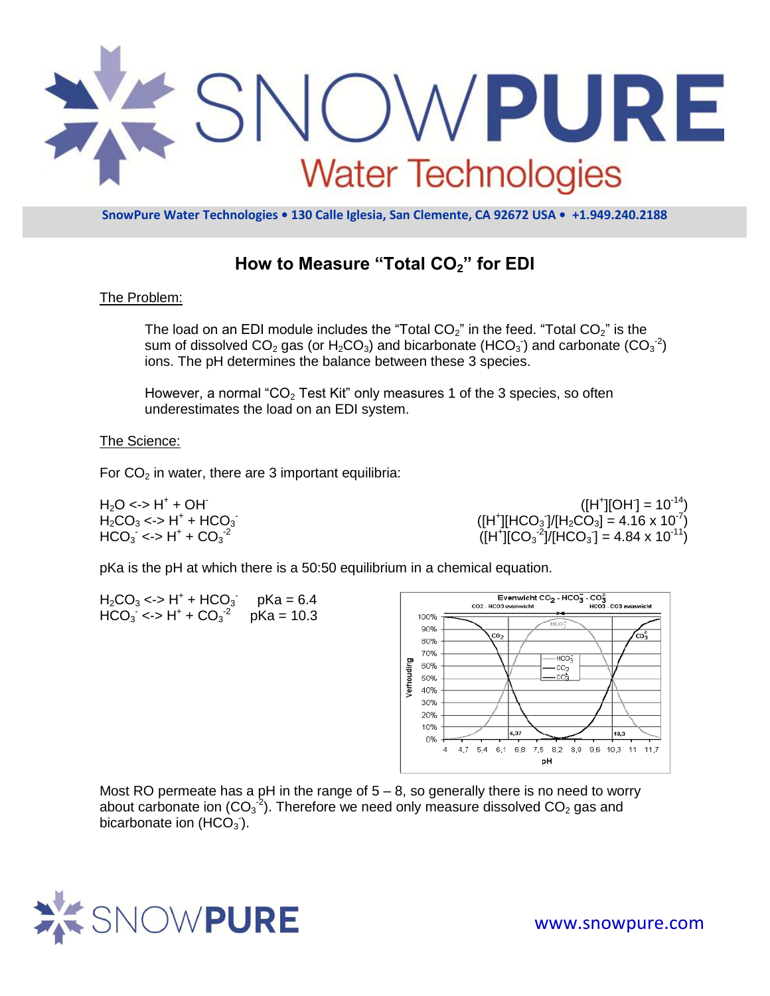

**SnowPure Water Technologies • 130 Calle Iglesia, San Clemente, CA 92672 USA • +1.949.240.2188**

# **How to Measure "Total CO2" for EDI**

### The Problem:

The load on an EDI module includes the "Total  $CO<sub>2</sub>$ " in the feed. "Total  $CO<sub>2</sub>$ " is the sum of dissolved CO<sub>2</sub> gas (or H<sub>2</sub>CO<sub>3</sub>) and bicarbonate (HCO<sub>3</sub>) and carbonate (CO<sub>3</sub><sup>-2</sup>) ions. The pH determines the balance between these 3 species.

However, a normal "CO<sub>2</sub> Test Kit" only measures 1 of the 3 species, so often underestimates the load on an EDI system.

#### The Science:

For  $CO<sub>2</sub>$  in water, there are 3 important equilibria:

 $H_2O \le H^+ + OH^ H_2CO_3 \leftarrow H^+ + HCO_3$  $HCO_3 \le H^+ + CO_3^{-2}$ 

 $([H^*][OH] = 10^{-14})$  $([H^+][HCO_3]/[H_2CO_3] = 4.16 \times 10^{-7})$  $([H^+][CO_3^{-2}]/[HCO_3] = 4.84 \times 10^{-11})$ 

pKa is the pH at which there is a 50:50 equilibrium in a chemical equation.



Most RO permeate has a pH in the range of  $5 - 8$ , so generally there is no need to worry about carbonate ion (CO<sub>3</sub><sup>-2</sup>). Therefore we need only measure dissolved CO<sub>2</sub> gas and bicarbonate ion (HCO $_3$ ).